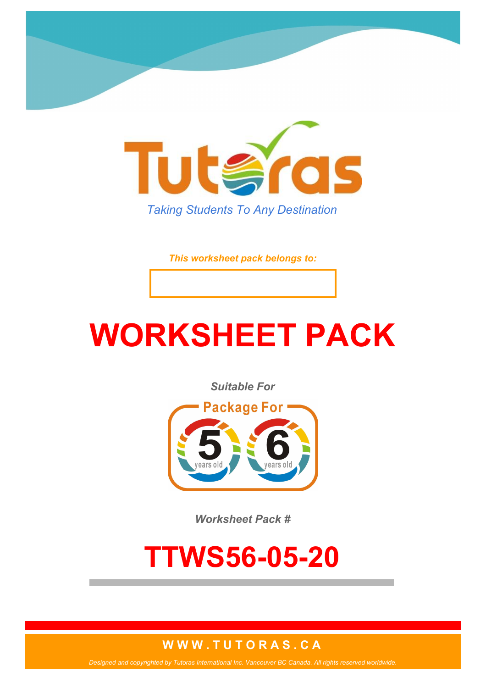

*This worksheet pack belongs to:*

# **WORKSHEET PACK**

*Suitable For*



*Worksheet Pack #*

## **TTWS56-05-20**

#### **W W W . T U T O R A S . C A**

*Designed and copyrighted by Tutoras International Inc. Vancouver BC Canada. All rights reserved worldwide.*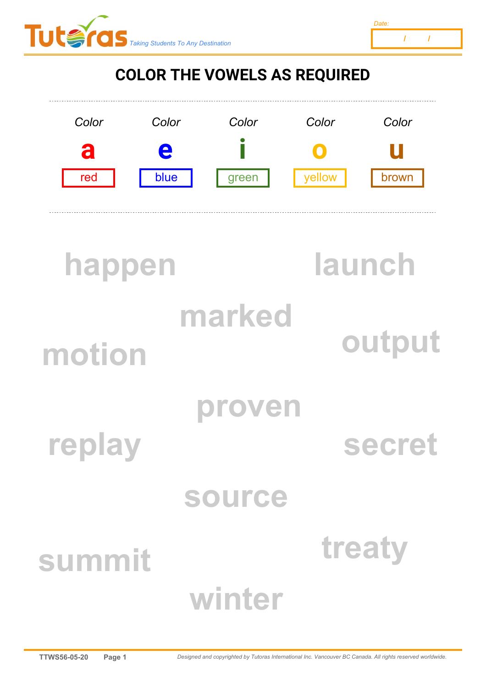



### **COLOR THE VOWELS AS REQUIRED**



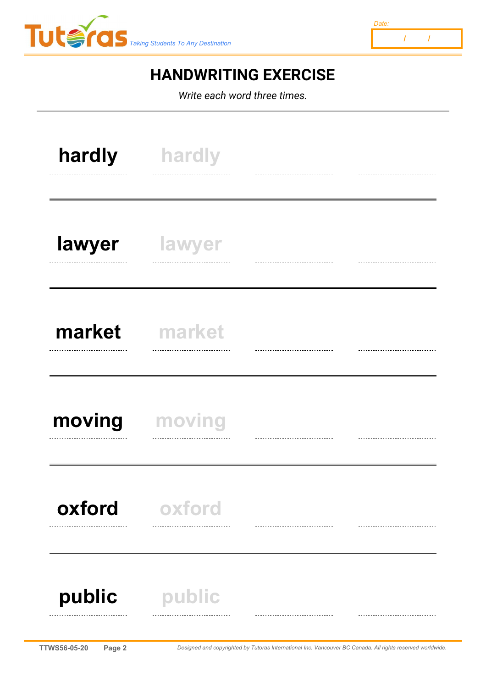



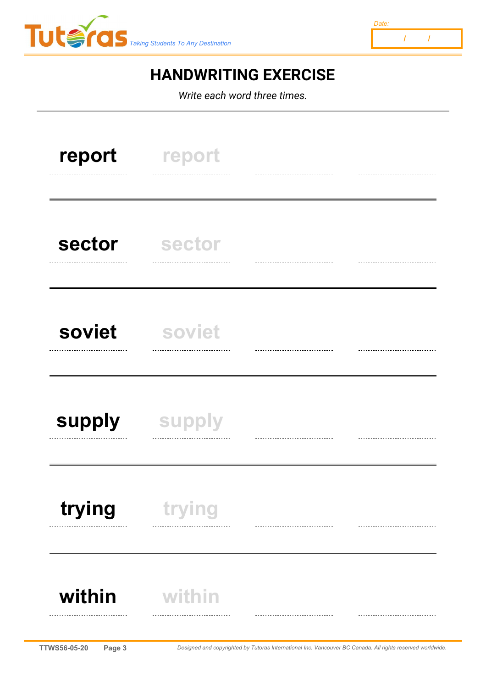



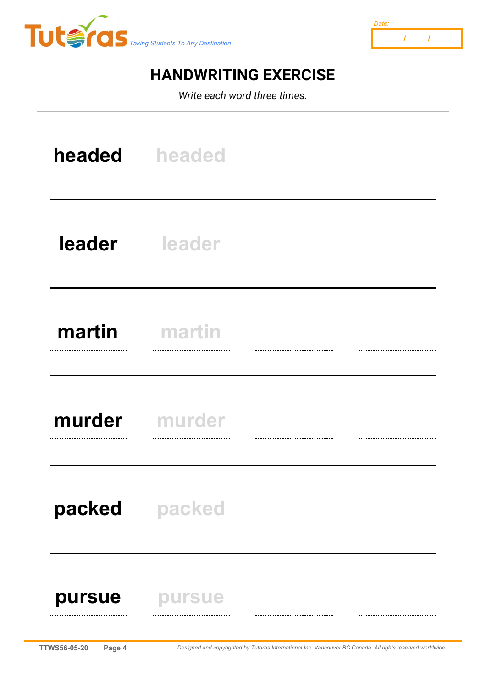



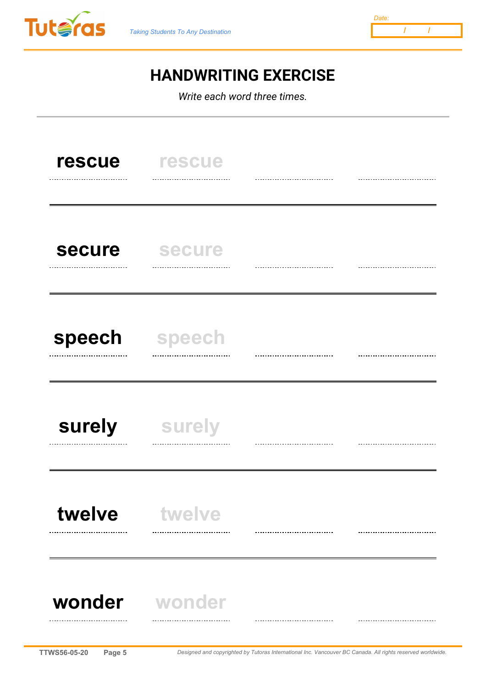



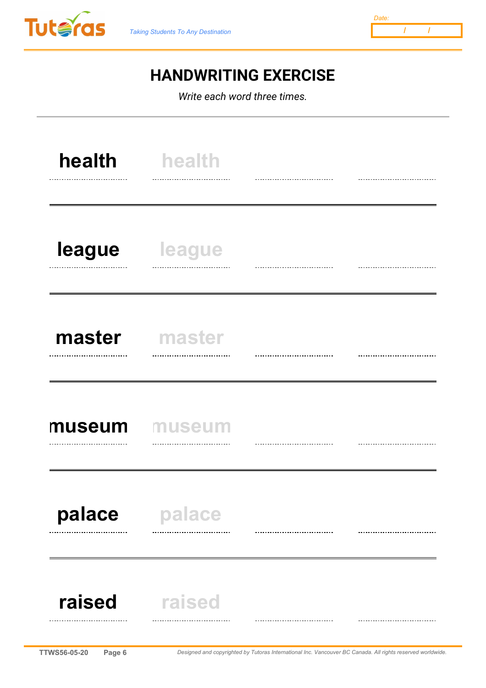